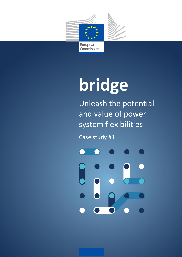

# **bridge**

Unleash the potential and value of power system flexibilities

Case study #1

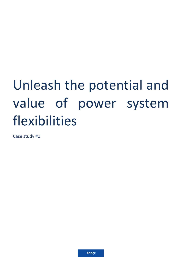# Unleash the potential and value of power system flexibilities

Case study #1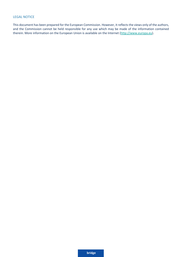### LEGAL NOTICE

This document has been prepared for the European Commission. However, it reflects the views only of the authors, and the Commission cannot be held responsible for any use which may be made of the information contained therein. More information on the European Union is available on the Internet [\(http://www.europa.eu\)](http://www.europa.eu/).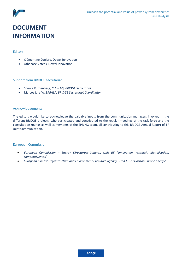

# **DOCUMENT INFORMATION**

#### Editors

- Clémentine Coujard, Dowel Innovation
- Athanase Vafeas, Dowel Innovation

#### Support from BRIDGE secretariat

- Shenja Ruthenberg, *CLERENS, BRIDGE Secretariat*
- Marcos Jareño*, ZABALA, BRIDGE Secretariat Coordinator*

#### Acknowledgements

The editors would like to acknowledge the valuable inputs from the communication managers involved in the different BRIDGE projects, who participated and contributed to the regular meetings of the task force and the consultation rounds as well as members of the SPRING team, all contributing to this BRIDGE Annual Report of TF Joint Communication.

#### European Commission

- *European Commission – Energy Directorate-General, Unit B5 "Innovation, research, digitalisation, competitiveness"*
- *European Climate, Infrastructure and Environment Executive Agency - Unit C.C2 "Horizon Europe Energy"*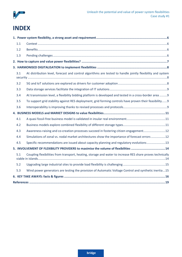

# **INDEX**

| 1.1 |                                                                                                            |  |
|-----|------------------------------------------------------------------------------------------------------------|--|
| 1.2 |                                                                                                            |  |
| 1.3 |                                                                                                            |  |
|     |                                                                                                            |  |
|     |                                                                                                            |  |
| 3.1 | At distribution level, forecast and control algorithms are tested to handle jointly flexibility and system |  |
| 3.2 |                                                                                                            |  |
| 3.3 |                                                                                                            |  |
| 3.4 | At transmission level, a flexibility bidding platform is developed and tested in a cross-border area 9     |  |
| 3.5 | To support grid stability against RES deployment, grid forming controls have proven their feasibility9     |  |
| 3.6 |                                                                                                            |  |
|     |                                                                                                            |  |
| 4.1 |                                                                                                            |  |
| 4.2 |                                                                                                            |  |
| 4.3 | Awareness-raising and co-creation processes succeed in fostering citizen engagement12                      |  |
| 4.4 | Simulations of zonal vs. nodal market architectures show the importance of forecast errors 12              |  |
| 4.5 | Specific recommendations are issued about capacity planning and regulatory evolutions13                    |  |
|     | 5. INVOLVEMENT OF FLEXIBILITY PROVIDERS to maximise the volume of flexibilities  14                        |  |
| 5.1 | Coupling flexibilities from transport, heating, storage and water to increase RES share proves technically |  |
| 5.2 |                                                                                                            |  |
| 5.3 | Wind power generators are testing the provision of Automatic Voltage Control and synthetic inertia15       |  |
|     |                                                                                                            |  |
|     |                                                                                                            |  |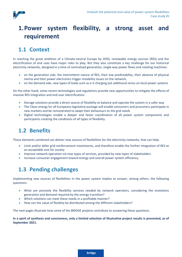

# <span id="page-5-0"></span>**1.Power system flexibility, a strong asset and requirement**

# <span id="page-5-1"></span>**1.1 Context**

In reaching the great ambition of a Climate-neutral Europe by 2050, renewable energy sources (RES) and the electrification of end uses have major roles to play. But they also constitute a key challenge for our historical electricity networks, designed in a time of centralised generation, single-way power flows and rotating machines:

- on the generation side, the intermittent nature of RES, their low predictability, their absence of physical inertia and their power electronics trigger instability issues on the network,
- on the demand side, new types of loads such as e-V charging put additional stress on local power systems

On the other hand, some recent technologies and regulations provide new opportunities to mitigate the effects of massive RES integration and end-user electrification:

- Storage solutions provide a direct source of flexibility to balance and operate the system in a safer way
- The Clean energy for all Europeans legislative package will enable consumers and prosumers participate in new markets and be remunerated to adapt their behaviours to the grid needs
- Digital technologies enable a deeper and faster coordination of all power system components and participants creating the conditions of all types of flexibility.

### <span id="page-5-2"></span>**1.2 Benefits**

These elements combined can deliver new sources of flexibilities for the electricity networks, that can help:

- Limit and/or defer grid reinforcement investments, and therefore enable the further integration of RES at an acceptable cost for society
- Improve network operation via new types of services, provided by new types of stakeholders
- Increase consumer engagement toward energy and overall power system efficiency.

### <span id="page-5-3"></span>**1.3 Pending challenges**

Implementing new sources of flexibilities in the power system implies to answer, among others, the following questions:

- What are precisely the flexibility services needed by network operators, considering the evolutions generation and demand required by the energy transition?
- Which solutions can meet these needs in a profitable manner?
- How can the value of flexibity be distributed among the different stakeholders?

The next pages illustrate how some of the BRIDGE projects contribute to answering these questions.

**In a spirit of synthesis and conciseness, only a limited selection of illustrative project results is presented, as of September 2021.**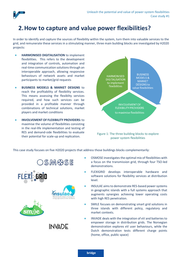

# <span id="page-6-0"></span>**2.How to capture and value power flexibilities?**

In order to identify and capture the sources of flexibility within the system, turn them into valuable services to the grid, and remunerate these services in a stimulating manner, three main building blocks are investigated by H2020 projects:

- **HARMONISED DIGITALISATION** to implement flexibilities. This refers to the development and integration of controls, automation and real-time communication solutions through an interoperable approach, allowing responsive behaviours of network assets and market participants to market/grid requests
- **BUSINESS MODELS & MARKET DESIGNS to** reach the profitability of flexibility services. This means assessing the flexiblity services required, and how such services can be provided in a profitable manner through combinations of technical solutions, market players and market conditions
- **INVOLVEMENT OF FLEXIBILITY PROVIDERS:** to maximise the volume of flexibilities consisting in the real-life implementation and testing of RES and demand-side flexibilities to evaluate their potential for scale-up and replication.



Figure 1: The three building blocks to explore power system flexibilities

This case study focuses on five H2020 projects that address those buildings blocks complementarily:









**INVADE** 

- OSMOSE investigates the optimal mix of flexibilities with a focus on the transmission grid, through four TSO-led demonstrations.
- FLEXIGRID develops interoperable hardware and software solutions for flexibility services at distribution level.
- INSULAE aims to demonstrate RES-based power systems in geographic islands with a full systems approach that augments synergies achieving lower operating costs with high RES penetration.
- SMILE focuses on demonstrating smart grid solutions in three islands with different policy, regulatory and market contexts.
- INVADE deals with the integration of eV and batteries to empower storage in distribution grids. The Norvegian demonstration explores eV user behaviours, while the Dutch demonstration tests different charge points (home, office, public space)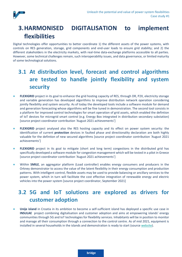

# <span id="page-7-0"></span>**3.HARMONISED DIGITALISATION to implement flexibilities**

Digital technologies offer opportunities to better coordinate 1) the different assets of the power systems, with controls on RES generation, storage, grid components and end-user loads to ensure grid stability; and 2) the different stakeholders in the electricity markets, with real-time data-exchange platforms accessible to all parties. However, some technical challenges remain, such interoperability issues, and data governance, or limited maturity of some technological solutions.

# <span id="page-7-1"></span>**3.1 At distribution level, forecast and control algorithms are tested to handle jointly flexibility and system security**

- **FLEXIGRID** project in its goal to enhance the grid hosting capacity of RES, through DR, P2X, electricity storage and variable generation has developed algorithms to improve distribution network operation considering jointly flexibility and system security. As of today the developed tools include a software module for demand and generation forecasting whose algorithms will be fine tuned in demonstration. The second tool consists in a platform for improved control technologies for smart operation of grid assets, which enabled the defintion of IoT devices for microgrid smart control (e.g. Energy Box integrated in distribution secondary substation) [source project coordinator contribution 'August 2021 achievements']
- **FLEXIGRID** project analysed also the RES hosting capacity and its effect on power system security: the identification of current **protection** devices in faulted phase and directionality declaration are both highly valuable for the defintion of new secured algorithms [source project coordinator contribution 'August 2021 achievements']
- **FLEXIGRID** project in its goal to mitigate (short and long term) congestions in the distributed grid has specifically developed a software module for congestion management which will be tested in a pilot in Greece [source project coordinator contribution 'August 2021 achievements']
- Within **SMILE**, an aggregator platform (Load controller) enables energy consumers and producers in the Orkney demonstrator to access the value of the latent flexibility in their energy consumption and production patterns. With intelligent control, flexible assets may be used to provide balancing or ancillary services to the power system, which in turn will facilitate the cost effective integration of renewable energy and electric vehicles into the power system [source project coordinator, September 2021]

# <span id="page-7-2"></span>**3.2 5G and IoT solutions are explored as drivers for customer adoption**

● **Unije island** in Croatia in its ambition to become a self-sufficient island has deployed a specific use case in **INSULAE** project combining digitalisation and customer adoption and aims at empowering islands' energy communities through 5G and IoT technologies for flexibility services. Inhabitants will be in position to monitor and manage all their consumption through a connection to the control centre. As of mid 2021, equipment is installed in several households in the islands and demonstration is ready to start (source [website\)](file:///C:/Users/lnielsen.FCIRCE/AppData/Local/Microsoft/Windows/INetCache/Content.Outlook/54BNOAMZ/nsulae-h2020.eu/pilots/lighthouse-island-1-unije).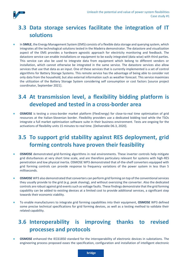

# <span id="page-8-0"></span>**3.3 Data storage services facilitate the integration of IT solutions**

In **SMILE**, the Energy Management System (EMS) consists of a flexible data storage and querying system, which integrates all the technological solutions tested in the Madeira demonstrator. The datastore and visualization aspect of the EMS provides a hardware agnostic approach for electricity monitoring and feedback. The datastore service can enable installations or equipment to be easily integrated (data wise) with third parties. This service can also be used to integrate data from equipment which belong to different vendors or installation, which cannot otherwise be integrated in the same service. The datastore services also allow services that use that data as an input. One of these services that is currently implemented is a set of control algorithms for Battery Storage Systems. This remote service has the advantage of being able to consider not only data from the household, but also external information such as weather forecast. This service maximizes the utilization of the Battery Storage System considering self consumption or cost factors [source project coordinator, September 2021].

### <span id="page-8-1"></span>**3.4 At transmission level, a flexibility bidding platform is developed and tested in a cross-border area**

**OSMOSE** is testing a [cross-border market platform](https://www.osmose-h2020.eu/project-overview/wp6/) (FlexEnergy) for close-to-real time optimisation of grid resources at the Italian-Slovenian border. Flexibility providers use a dedicated bidding tool while the TSOs integrate a full market optimisation software suite in their business environment. Tests are ongoing for the activations of flexibility units 15 minutes to real time. [Deliverable D6.3, 2020].

# <span id="page-8-2"></span>**3.5 To support grid stability against RES deployment, grid forming controls have proven their feasibility**

- **OSMOSE** demonstrated [grid-forming algorithms](https://www.osmose-h2020.eu/project-overview/wp3/) in real environments. These inverter controls help mitigate grid disturbances at very short time scale, and are therefore particulary relevant for systems with high-RES penetration and low physical inertia. OSMOSE WP3 demonstrated that of-the-shelf converters equipped with grid forming controls can provide response to frequency variations of the power system in less than 5 milliseconds.
- **OSMOSE** WP3 also demonstrated that converters can perform grid forming on top of the conventional services they usually provide to the grid (e.g. peak shaving), and without oversizing the converter. Also the dedicated controls are robust against grid events such as voltage faults. These findings demonstrate that the grid forming capability can be added to existing devices at a limited cost to provide additional services, a significant step towards their economic viability.
- To enable manufacturers to integrate grid forming capabilities into their equipment, **OSMOSE** WP3 defined some precise technical specifications for grid forming devices, as well as a testing method to validate their related capability.

### <span id="page-8-3"></span>**3.6 Interoperability is improving thanks to revised processes and protocols**

**OSMOSE** enhanced the IEC61850 standard for the interoperability of electronic devices in substations. The engineering process proposed eases the specification, configuration and installation of intelligent electronic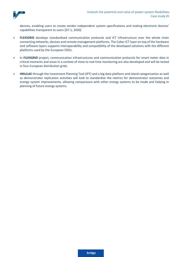

devices, enabling users to create vendor independent system specifications and making electronic devices' capabilities transparent to users [D7.1, 2020]

- **FLEXIGRID** develops standardised communication protocols and ICT infrastructure over the whole chain connecting networks, devices and remote management platforms. The Cyber ICT layer on top of the hardware and software layers supports interoperability and compatibility of the developed solutions with the different platforms used by the European DSOs.
- In **FLEXIGRID** project, communication infrastructures and communication protocols for smart meter data in critical moments and areas in a context of close to real time monitoring are also developed and will be tested in four European distribution grids.
- **INSULAE** through the Investment Planning Tool (IPT) and a big data platform and island categorisation as well as demonstrator replication activities will look to standardise the metrics for demonstrator outcomes and energy system improvements, allowing comparisons with other energy systems to be made and helping in planning of future energy systems.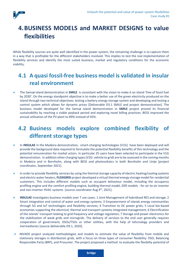

# <span id="page-10-0"></span>**4.BUSINESS MODELS and MARKET DESIGNS to value flexibilities**

While flexibility sources are quite well identified in the power system, the remaining challenge is to capture them in a way that is profitable for the different stakeholders involved. This implies to test the real implementation of flexibility services and identify the most suited business, market and regulatory conditions for the economic viability,

# <span id="page-10-1"></span>**4.1 A quasi fossil-free business model is validated in insular real environment**

● The Samsø island demonstration in **SMILE** is consistant with the vision to make it an island 'free of fossil fuel by 2030'. On the energy standpoint objective is to make a better use of the green electricity produced on the island through two technical objectives: testing a battery energy storage system and developing and testing a control system which allows for dynamic prices [Deliverable D3.1 SMILE and project demonstration]. The business model developed for the Samsø island demonstration in **SMILE** project proved its financial sustainability by reaching a viable payback period and exploring novel billing practices. BESS improved the annual utilisation of the PV plant to 89% instead of 45%.

# <span id="page-10-2"></span>**4.2 Business models explore combined flexibility of different storage types**

- In **INSULAE** in the Madeira demonstration, smart-charging technologies (V1G) have been deployed and will provide the background data required to formulate the potential flexibility benefits of this technology and the potential remuneration for market actors. In particular 25 users have been selected to participate in the V1G demonstration. In addition other charging types (V2G- vehicle to grid) are to be assessed in the coming months in Madeira and in Bornholm, along with BESS and photovoltaics in both Bornholm and Unije [project coordinator, September 2021].
- In order to provide flexibility services by using the thermal storage capacity of electric heating/cooling systems and electric water heaters, **FLEXIGRID** project developed a virtual thermal energy storage model for residential customers. This includes different models such as occupant behaviour model, including the occupancy profiling engine and the comfort profiling engine, building thermal model, DER models - for air-to-air inverter and non-inverter HVAC systems [source coordinator Aug 4<sup>th</sup>, 2021].
- **INSULAE** investigates business models over 7 use cases: 1 Joint Management of hybridised RES and storage; 2 Smart integration and control of water and energy systems; 3 Empowerment of islands energy communities through 5G and IoT technologies and flexibility services; 4 Transition to DC power grids; 5 Local bio-based economies supporting the electrical, thermal and transport systems integrated management; 6 Electrification of the islands' transport looking to grid frequency and voltage regulation; 7 Storage and power electronics for the stabilization of weak grids and microgrids. The delivery of services to the end user generally requires cooperation of government, DSOs/TSOs or other utilities, with the help of tehcnology providers and inermediaries [source deliverable D9.1, 2020].
- INVADE project analyzed methodologies and models to estimate the value of flexibility from mobile and stationary storages in distribution grids, with a focus on three types of consumer flexibility: DSO, Balancing Responsible Party (BRP), and Prosumer. The project proposed a method to evaluate the flexibilty potential of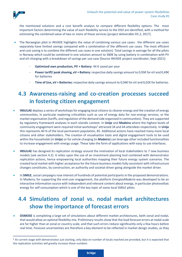

the mentioned solutions and a cost benefit analysis to compare different flexibility options. The most important factors determining the value of each flexibility service to the DSO are identified, with a method for estimating the combined value of two or more of these services [project deliverable D5.2, 2017].

- The Norwegian pilot in INVADE highlights the value of combining various use cases: the different use cases separately have limited savings compared with a combination of the different use cases. The most efficient and cost saving is to combine the different use cases in one solution). Total savings in average for all the pilots in Norway which could be combined in one solution amount to 580€ by using battery in combination with PV and eV-charging with a breakdown of savings per use case [Source INVADE project coordinator, Sept 2021]:
	- **Optimised own production, PV + Battery: 44 € saved per year**
	- **Power tariff/ peak shaving, eV + Battery:** respective daily savings amount to 0,93€ for eV and 0,49€ for batteries
	- Time of Use, eV + Batteries: respective daily savings amount to 0,04€ for eV and 0,02€ for batteries.

# <span id="page-11-0"></span>**4.3 Awareness-raising and co-creation processes succeed in fostering citizen engagement**

- **INSULAE** deploys a series of workshops for engaging local citizens to cleaner energy and the creation of energy communities, in particular exploring criticalities such as use of energy data for non-energy services, or the market organisation (tariffs, and regulation of the demand side organised in communities). They are supported by regulatory framework analyses in each islandic context. In **Unije** and **Madeira** where the highest levels of community engagement were required initial workshops<sup>1</sup> attracted 34 and 44 attendees respectively. In **Unije** this represents 40 % of the local permanent population, 85. Additional actions have reached many more local citizens and other stakeholders. The creation of visualisation tools and digital engagement tools to be used within the households (in **Unije**) or for vehcle charging (in **Madeira**) can leverage other included functionalities to increase engagement with energy usage. These take the form of applications with easy to use interfaces.
- **INSULAE** has designed its replication strategy around the motivation of local stakeholders to 7 new business models (see section [4.2\)](#page-10-2). It relies upon the use of an investment planning tool combined with demonstrator replication actions, hence empowering local authorities mapping their future energy system scenarios. The created local market with higher acceptance for the future business models fully consistent with infrastructure changes constitutes, by construction, an authority and societal driver going alongside the market driver.
- **In SMILE**, social campaigns rose interest of hundreds of potential participants in the proposed demonstrations. In Madeira, for supporting the end-user engagement, the platform *EnergiasMaderia* was developed to be an interactive information source with independent and relevant content about energy, in particular photovoltaic energy for self-consumption which is one of the key topic of some local SMILE pilots.

# <span id="page-11-1"></span>**4.4 Simulations of zonal vs. nodal market architectures show the importance of forecast errors**

**OSMOSE** is completing a large set of simulations about different market architectures, both zonal and nodal, that would allow an optimal flexibility mix. Preliminary results show that the load forecast errors at nodal scale are far higher than at zonal or country scale, and that such errors reduce significantly only a few hours before real time. Forecast uncertainties are therefore a key element to be reflected in market design studies, as they

<sup>1</sup> At current stage with demonstrator just starting, only data on number of locals reached are provided, but it is expected that the replication activities will greatly increase these numbers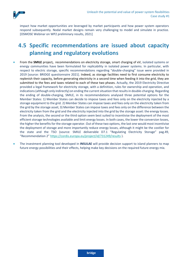

impact how market opportunities are leveraged by market participants and how power system operators respond subsequently. Nodal market designs remain very challenging to model and simulate in practice. [OSMOSE Webinar on WP2 preliminary results, 2021]

# <span id="page-12-0"></span>**4.5 Specific recommendations are issued about capacity planning and regulatory evolutions**

- From the **SMILE** project**,** recommendations on electricity storage, smart charging of eV, isolated systems or energy communities have been formulated for replicability in isolated power systems. In particular, with respect to electric storage, specific recommendations regarding "double-charging" issue were provided in 2019 [source: BRIDGE questionnaire 2021]. Indeed, as storage facilities need to first consume electricity to replenish their capacity, before generating electricity in a second time when feeding it into the grid, they are submitted to the fees and taxes related to each of these two phases. Actually, the 2019 Electricity Directive provided a legal framework for electricity storage, with a definition, rules for ownership and operation, and indications (although only indirectly) on ending the current situation that results in double-charging. Regarding the ending of double-charging, SMILE, in its recommendations analysed three potential options for the Member States: 1) Member States can decide to impose taxes and fees only on the electricity injected by a storage equipment to the grid. 2) Member States can impose taxes and fees only on the electricity taken from the grid by the storage asset; 3) Member States can impose taxes and fees only on the difference between the electricity taken from the grid and the electricity injected into the grid by the storage asset: the energy losses. From the analysis, the second or the third option seem best suited to incentivise the deployment of the most efficient storage technologies available and limit energy losses. In both cases, the lower the conversion losses, the higher the benefits for the storage operator. Out of these two options, the last one would most incentivise the deployment of storage and more importantly reduce energy losses, although it might be the costlier for the state and the TSO (source: SMILE deliverable D7.1 "Regulating Electricity Storage" pag.49, "Recommendation 2" <https://cordis.europa.eu/project/id/731249/results> ).
- The investment planning tool developed in **INSULAE** will provide decision support to island planners to map future energy possibilities and their effects, helping make key decisions on the required future energy mix.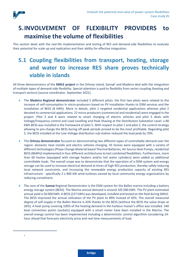

# <span id="page-13-0"></span>**5.INVOLVEMENT OF FLEXIBILITY PROVIDERS to maximise the volume of flexibilities**

This section deals with the real-life implementation and testing of RES and demand-side flexibilities to evaluate their potential for scale up and replication and their ability for effective integration.

# <span id="page-13-1"></span>**5.1 Coupling flexibilities from transport, heating, storage and water to increase RES share proves technically viable in islands**

All three demonstrators of the **SMILE project** in the Orkney island, Samsø<sup>2</sup> and Madeira deal with the integration of multiple types of demand-side flexibility. Special attention is paid to flexibility from sector coupling (heating and transport sectors) [source coordinator, September 2021].

- The **Madeira Regional demonstrator** included 5 different pilots: the first two pilots were related to the increase of self-consumption in micro-producers based on PV installation thanks to DSM services and the installation of BESS (8 kWh). More in details, pilot 1 targeted residential applications whereas pilot 2 devoted to commercial applications. 22 micro-producers (commercial and residential) were engaged in the project. Pilot 3 and 4 were related to smart charging of electric vehicles and pilot 5 deals with Voltage/Frequency control and Load Levelling and Peak Shaving at the Distribution Substation Level: a 80 kWh BESS was installed in the framework of pilot 5. With respect to pilot 1 and pilot 2, the control strategy allowing to pre-charge the BESS during off-peak periods proved to be the most profitable. Regarding pilot 5, the BESS installed at the Low Voltage distribution sub-station reduced the load peak by 70%.
- **The Orkney demonstrator** focused on demonstrating two different types of controllable demand over the region: domestic heat installs and electric vehicles charging. 45 homes were equipped with a variety of different technologies(Phase Change Material based Thermal Batteries, Air Source Heat Pumps, residential BESS (8kWh)) implemented in four different architectures to test combined flexibilities. Furthermore, more than 60 homes (equipped with storage heaters and/or hot water cylinders) were added as additional controllable loads. The overall scope was to demonstrate that the operation of a DSM system and energy storage can be used to increase electrical demand at times of high RES production, thereby safely reducing local network constraints, and increasing the renewable energy production capacity of existing RES infrastructure - specifically 2 x 900 kW wind turbines owned by local community energy organisations by reducing curtailment.
- The core of the **Samsø** Regional Demonstrator is the DSM system for the Ballen marina including a battery energy storage system (BESS). The Marina annual demand is around 105 000 kWh. The PV plant estimated annual yield is 56 000 kWh. A BESS (237 kWh) was developed, installed and tested on the field during SMILE. The BESS improved the annual utilisation of the PV plant to 89% instead of 45%. The overall measured degree of self-supply in the Ballen Marina is 43% thanks to the BESS (without the BESS the value drops at 26%). A heat pump covering 100% of the heating demand in the harbour master's office was installed. 340 boat connection points (sockets) equipped with a smart meter have been installed in the Marina. The overall energy control has been implemented including a deterministic control algorithm considering 24 hour ahead that forecasts electricity price and real time measurements of load.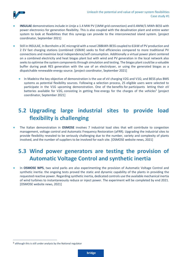

- **INSULAE** demonstrations include in Unije a 1.4 MW PV (1MW grid connection) and 0.4MW/1 MWh BESS with power electronics for generation flexibility. This is also coupled with the desalination plant and entire water system to look at flexibilities that this synergy can provide to the interconnected island system. [project coordinator, September 2021]
- Still in INSULAE, In Bornholm a DC microgrid with a novel 288kWh BESS coupled to 61kW of PV production and 2 EV fast charging stations (combined 150kW) seeks to find efficiencies compared to more traditional PV connections and maximise local independence/self consumption. Additionally a virtual power plant centered on a combined electricity and heat biogas plant but with wind and PV generation in the local network also seeks to optimise the system components through simulation and testing. The biogas plant could be a valuable buffer during peak RES generation with the use of an electrolyser, or using the generated biogas as a dispatchable renewable energy source. [project coordinator, September 2021]
	- In Madeira the key objective of demonstration is the use of eV charging V2G and V1G; and BESS plus BMS systems as potential flexibility sources. Following a selection process, 25 eligible users were selected to participate in the V1G upcoming demonstration. One of the benefits for participants letting their eV batteries available for V2G, consisting in getting free energy for the charges of the vehicles<sup>3</sup> [project coordinator, September 2021]

# <span id="page-14-0"></span>**5.2 Upgrading large industrial sites to provide load flexibility is challenging**

● The Italian demonstration in **OSMOSE** involves 7 industrial load sites that will contribute to congestion management, voltage control and Automatic Frequency Restoration (aFRR). Upgrading the industrial sites to provide flexibility revealed to be seriously challenging due to the number, variety and complexity of plants involved, and the number of suppliers to be involved for each site. [OSMOSE website news, 2021]

### <span id="page-14-1"></span>**5.3 Wind power generators are testing the provision of Automatic Voltage Control and synthetic inertia**

In **OSMOSE WP5**, two wind parks are also experimenting the provision of Automatic Voltage Control and synthetic inertia: the ongoing tests proved the static and dynamic capability of the plants in providing the requested reactive power. Regarding synthetic inertia, dedicated controls use the available mechanical inertia of wind turbines to instantaneously reduce or inject power. The experiment will be completed by end 2021. [OSMOSE website news, 2021]

<sup>3</sup> although this is still under analysis by the National regulator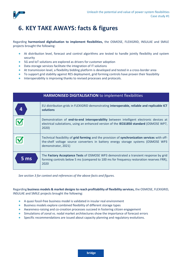

# <span id="page-15-0"></span>**6. KEY TAKE AWAYS: facts & figures**

Regarding **harmonised digitalisation to implement flexibilities,** the OSMOSE, FLEXIGRID, INSULAE and SMILE projects brought the following:

- At distribution level, forecast and control algorithms are tested to handle jointly flexibility and system security
- 5G and IoT solutions are explored as drivers for customer adoption
- Data storage services facilitate the integration of IT solutions
- At transmission level, a flexibility bidding platform is developed and tested in a cross-border area
- To support grid stability against RES deployment, grid forming controls have proven their feasibility
- Interoperability is improving thanks to revised processes and protocols.

| <b>HARMONISED DIGITALISATION to implement flexibilities</b> |                                                                                                                                                                                                           |  |  |
|-------------------------------------------------------------|-----------------------------------------------------------------------------------------------------------------------------------------------------------------------------------------------------------|--|--|
|                                                             | EU distribution grids in FLEXIGRID demonstrating interoperable, reliable and replicable ICT<br>solutions                                                                                                  |  |  |
|                                                             | Demonstration of end-to-end interoperability between intelligent electronic devices at<br>electrical substations, using an enhanced version of the IEC61850 standard (OSMOSE WP7,<br>2020)                |  |  |
|                                                             | Technical feasibility of grid forming and the provision of synchronization services with off-<br>the-shelf voltage source converters in battery energy storage systems (OSMOSE WP3<br>demonstrator, 2021) |  |  |
| 5 ms                                                        | The Factory Acceptance Tests of OSMOSE WP3 demonstrated a transient response by grid<br>forming controls below 5 ms (compared to 100 ms for frequency restoration reserves FRR),<br>2020                  |  |  |

*See sectio[n 3](#page-7-0) for context and references of the above facts and figures.*

Regarding **business models & market designs to reach profitability of flexibility services,** the OSMOSE, FLEXIGRID, INSULAE and SMILE projects brought the following:

- A quasi fossil-free business model is validated in insular real environment
- Business models explore combined flexibility of different storage types
- Awareness-raising and co-creation processes succeed in fostering citizen engagement
- Simulations of zonal vs. nodal market architectures show the importance of forecast errors
- Specific recommendations are issued about capacity planning and regulatory evolutions.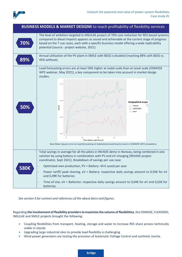

| <b>BUSINESS MODELS &amp; MARKET DESIGNS</b> to reach profitability of flexibility services |                                                                                                                                                                                                                                                                                                                                           |  |  |
|--------------------------------------------------------------------------------------------|-------------------------------------------------------------------------------------------------------------------------------------------------------------------------------------------------------------------------------------------------------------------------------------------------------------------------------------------|--|--|
| 70%                                                                                        | The level of ambition targeted in INSULAE project of 70% cost reduction for RES-based systems<br>compared to diesel imports appears as sound and achievable at the current stage of progress<br>based on the 7 use cases, each with a specific business model offering a wide replicability<br>potential (source : project website, 2021) |  |  |
| 89%                                                                                        | Annual utilisation of the PV plant in SMILE with BESS is doubled (reaching 89% with BESS vs.<br>45% without).                                                                                                                                                                                                                             |  |  |
|                                                                                            | Load forecasting errors are at least 50% higher at nodal scale than at zonal scale [OSMOSE<br>WP2 webinar, May 2021], a key component to be taken into account in market design<br>studies.                                                                                                                                               |  |  |
| 50%                                                                                        | $0.12 -$<br>0.08<br>Geographical scope<br><b>RMSE</b><br>France<br>substation<br>zone<br>$0.04 -$<br>0.00<br>10<br>20<br>30<br>Time before real time (h)<br>Root Mean Square error on load forecasting at Substation/zonal/country levels in OSMOSE WP2 simulations                                                                       |  |  |
|                                                                                            | Total savings in average for all the pilots in INVADE demo in Norway, being combined in one<br>solution by using battery in combination with PV and eV-charging [INVADE project<br>coordinator, Sept 2021]. Breakdown of savings per use case:                                                                                            |  |  |
| 580€                                                                                       | Optimised own production, PV + Battery: 44 $\epsilon$ saved per year<br>Power tariff/ peak shaving, eV + Battery: respective daily savings amount to 0,93€ for eV<br>and 0,49€ for batteries                                                                                                                                              |  |  |
|                                                                                            | Time of Use, eV + Batteries: respective daily savings amount to 0,04€ for eV and 0,02€ for<br>batteries.                                                                                                                                                                                                                                  |  |  |

*See sectio[n 4](#page-10-0) for context and references of the above facts and figures.*

Regarding **the involvement of flexibility providersto maximize the volume of flexibilities**, the OSMOSE, FLEXIGRID, INSULAE and SMILE projects brought the following:

- Coupling flexibilities from transport, heating, storage and water to increase RES share proves technically viable in islands
- Upgrading large industrial sites to provide load flexibility is challenging
- Wind power generators are testing the provision of Automatic Voltage Control and synthetic inertia.

**bridge**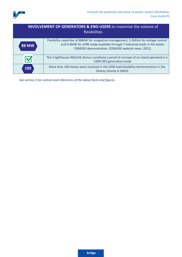

### **INVOLVEMENT OF GENERATORS & END-USERS** to maximise the volume of flexibilities

| <b>88 MW</b> | Flexibility capacities of 88MW for congestion management, 5.5MVar for voltage control<br>and 0.4MW for aFRR made available through 7 industrial loads in the Italian<br>OSMOSE demonstration. [OSMOSE website news, 2021] |
|--------------|---------------------------------------------------------------------------------------------------------------------------------------------------------------------------------------------------------------------------|
|              | The 3 lighthouse INSULAE demos constitute a proof of concept of an island operated in a<br>100% RES generation mode                                                                                                       |
| 100          | More than 100 homes were involved in the DSM load feasibility demonstration in the<br>Orkney Islands in SMILE.                                                                                                            |

*See section [5](#page-13-0) for context and references of the above facts and figures.*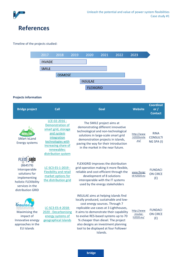

# <span id="page-18-0"></span>**References**

#### Timeline of the projects studied:



### **Projects information**

| <b>Bridge project</b>                                                                                                                           | Call                                                                                                                                                                    | Goal                                                                                                                                                                                                                                                                                                                                                                            | <b>Website</b>                       | <b>Coordinat</b><br>or $/$<br><b>Contact</b> |
|-------------------------------------------------------------------------------------------------------------------------------------------------|-------------------------------------------------------------------------------------------------------------------------------------------------------------------------|---------------------------------------------------------------------------------------------------------------------------------------------------------------------------------------------------------------------------------------------------------------------------------------------------------------------------------------------------------------------------------|--------------------------------------|----------------------------------------------|
| <b>SMart IsLand</b><br><b>Energy systems</b>                                                                                                    | LCE-02-2016 -<br>Demonstration of<br>smart grid, storage<br>and system<br>integration<br>technologies with<br>increasing share of<br>renewables:<br>distribution system | The SMILE project aims at<br>demonstrating different innovative<br>technological and non-technological<br>solutions in large-scale smart grid<br>demonstration projects in islands,<br>paving the way for their introduction<br>in the market in the near future.                                                                                                               | http://www<br>.h2020smile<br>.eu/    | <b>RINA</b><br><b>CONSULTI</b><br>NG SPA (I) |
| <b>FLEXI GRID</b><br>(864579)<br>Interoperable<br>solutions for<br>implementing<br>holistic FLEXIbility<br>services in the<br>distribution GRID | LC-SC3-ES-1-2019 -<br><b>Flexibility and retail</b><br>market options for<br>the distribution grid                                                                      | FLEXIGRID improves the distribution<br>grid operation making it more flexible,<br>reliable and cost-efficient through the<br>development of 8 solutions<br>interoperable with the IT systems<br>used by the energy stakeholders                                                                                                                                                 | www.flexigr<br>id-h2020.eu           | <b>FUNDACI</b><br><b>ON CIRCE</b><br>(E)     |
| Maximising the<br>impact of<br>Innovative energy<br>approaches in the<br><b>EU Islands</b>                                                      | LC-SC3-ES-4-2018-<br>2020 - Decarbonising<br>energy systems of<br>geographical Islands                                                                                  | INSULAE aims at helping islands find<br>locally produced, sustainable and low-<br>cost energy sources. Through 7<br>replicable use cases at 3 Lighthouses,<br>it aims to demonstrate their capability<br>to evolve RES-based systems up to 70<br>% cheaper than diesel. The project<br>also designs an investment planning<br>tool to be displayed at four Follower<br>Islands. | http://www<br>.insulae-<br>h2020.eu/ | <b>FUNDACI</b><br><b>ON CIRCE</b><br>(E)     |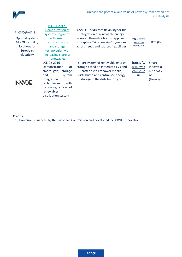

### OSMOSE

Optimal System-Mix Of flexibility Solutions for European electricity

[with smart](https://cordis.europa.eu/programme/id/H2020_LCE-04-2017/en) 

[and storage](https://cordis.europa.eu/programme/id/H2020_LCE-04-2017/en) 

[increasing share of](https://cordis.europa.eu/programme/id/H2020_LCE-04-2017/en)  [renewables](https://cordis.europa.eu/programme/id/H2020_LCE-04-2017/en) 

LCE-02-2016 - Demonstration of smart grid, storage and system

technologies with increasing share of

distribution system

integration

renewables:

# **INVADE**

[LCE-04-2017 -](https://cordis.europa.eu/programme/id/H2020_LCE-04-2017/en) Demonstration of system integration [transmission grid](https://cordis.europa.eu/programme/id/H2020_LCE-04-2017/en)  [technologies with](https://cordis.europa.eu/programme/id/H2020_LCE-04-2017/en)  OSMOSE addresses flexibility for the integration of renewable energy sources, through a holistic approach to capture "silo-breaking" synergies across needs and sources flexibilities.

[http://www](http://www.osmose-h2020.eu/) [.osmose](http://www.osmose-h2020.eu/)[h2020.eu](http://www.osmose-h2020.eu/) RTE (F)

Smart system of renewable energy storage based on integrated EVs and batteries to empower mobile, distributed and centralised energy storage in the distribution grid.

| https://w | Smart     |
|-----------|-----------|
| ww.invad  | Innovatio |
| eh2020.e  | n Norway  |
| u/        | As        |
|           | (Norway)  |

#### **Credits:**

This brochure is financed by the European Commission and developed by DOWEL Innovation